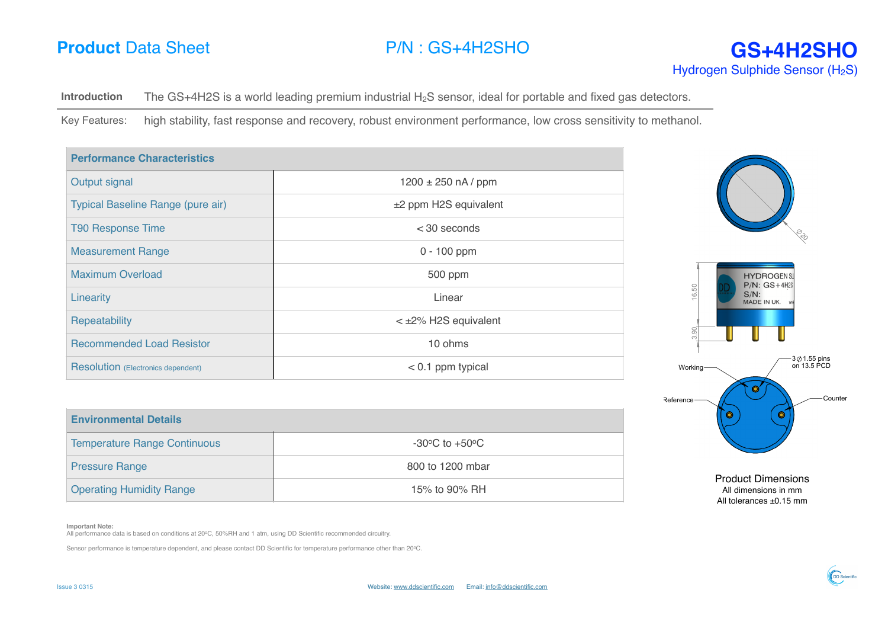**Introduction** The GS+4H2S is a world leading premium industrial H<sub>2</sub>S sensor, ideal for portable and fixed gas detectors.

Key Features: high stability, fast response and recovery, robust environment performance, low cross sensitivity to methanol.

| <b>Performance Characteristics</b>        |                                              |                                                        |
|-------------------------------------------|----------------------------------------------|--------------------------------------------------------|
| Output signal                             | $1200 \pm 250$ nA / ppm                      |                                                        |
| Typical Baseline Range (pure air)         | ±2 ppm H2S equivalent                        |                                                        |
| <b>T90 Response Time</b>                  | $<$ 30 seconds                               |                                                        |
| <b>Measurement Range</b>                  | $0 - 100$ ppm                                |                                                        |
| <b>Maximum Overload</b>                   | 500 ppm                                      | <b>HYDROGENSU</b><br>$P/N$ : $GS+4H2S$                 |
| Linearity                                 | Linear                                       | $50\,$<br>$S/N$ :<br>$\circlearrowleft$<br>MADE IN UK. |
| Repeatability                             | $<$ $\pm$ 2% H2S equivalent                  | $\frac{8}{2}$                                          |
| <b>Recommended Load Resistor</b>          | 10 ohms                                      | ന്                                                     |
| <b>Resolution</b> (Electronics dependent) | $< 0.1$ ppm typical                          | -3 ∅ 1.55 pins<br>on 13.5 PCD<br>Working-              |
|                                           |                                              | Ó<br>Counter<br>Reference-                             |
| <b>Environmental Details</b>              |                                              | O<br>O                                                 |
| <b>Temperature Range Continuous</b>       | -30 $\rm{^{\circ}C}$ to +50 $\rm{^{\circ}C}$ |                                                        |

| <b>Temperature Range Continuous</b> | $-30^{\circ}$ C to $+50^{\circ}$ C |
|-------------------------------------|------------------------------------|
| <b>Pressure Range</b>               | 800 to 1200 mbar                   |
| <b>Operating Humidity Range</b>     | 15% to 90% RH                      |

## **Important Note:**

All performance data is based on conditions at 20°C, 50%RH and 1 atm, using DD Scientific recommended circuitry.

Sensor performance is temperature dependent, and please contact DD Scientific for temperature performance other than 20oC.



Product Dimensions All dimensions in mm